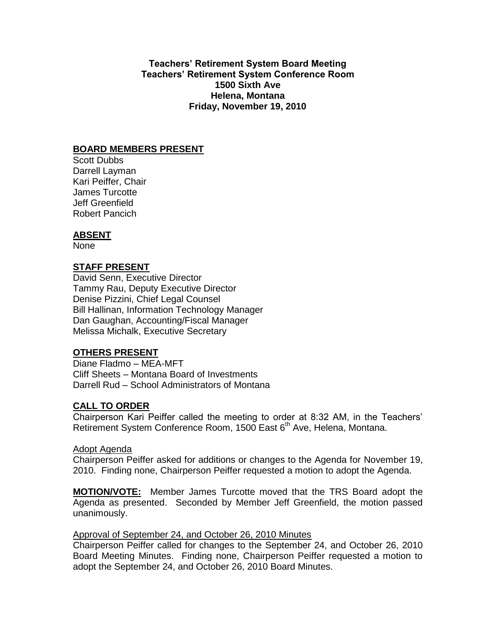**Teachers' Retirement System Board Meeting Teachers' Retirement System Conference Room 1500 Sixth Ave Helena, Montana Friday, November 19, 2010**

### **BOARD MEMBERS PRESENT**

Scott Dubbs Darrell Layman Kari Peiffer, Chair James Turcotte Jeff Greenfield Robert Pancich

# **ABSENT**

None

# **STAFF PRESENT**

David Senn, Executive Director Tammy Rau, Deputy Executive Director Denise Pizzini, Chief Legal Counsel Bill Hallinan, Information Technology Manager Dan Gaughan, Accounting/Fiscal Manager Melissa Michalk, Executive Secretary

# **OTHERS PRESENT**

Diane Fladmo – MEA-MFT Cliff Sheets – Montana Board of Investments Darrell Rud – School Administrators of Montana

# **CALL TO ORDER**

Chairperson Kari Peiffer called the meeting to order at 8:32 AM, in the Teachers' Retirement System Conference Room, 1500 East 6<sup>th</sup> Ave, Helena, Montana.

### Adopt Agenda

Chairperson Peiffer asked for additions or changes to the Agenda for November 19, 2010. Finding none, Chairperson Peiffer requested a motion to adopt the Agenda.

**MOTION/VOTE:** Member James Turcotte moved that the TRS Board adopt the Agenda as presented. Seconded by Member Jeff Greenfield, the motion passed unanimously.

### Approval of September 24, and October 26, 2010 Minutes

Chairperson Peiffer called for changes to the September 24, and October 26, 2010 Board Meeting Minutes. Finding none, Chairperson Peiffer requested a motion to adopt the September 24, and October 26, 2010 Board Minutes.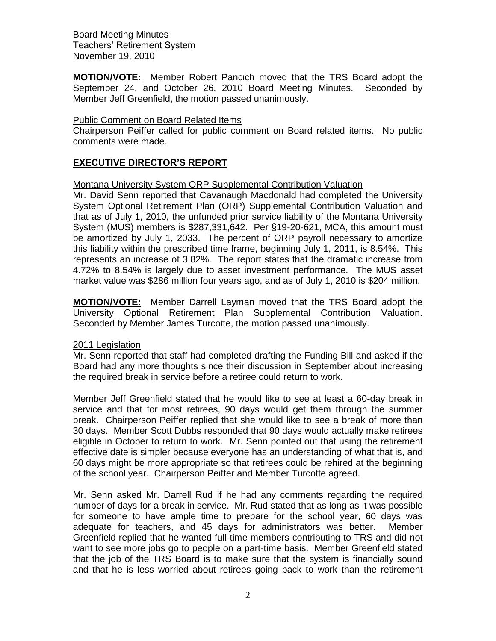**MOTION/VOTE:** Member Robert Pancich moved that the TRS Board adopt the September 24, and October 26, 2010 Board Meeting Minutes. Seconded by Member Jeff Greenfield, the motion passed unanimously.

#### Public Comment on Board Related Items

Chairperson Peiffer called for public comment on Board related items. No public comments were made.

# **EXECUTIVE DIRECTOR'S REPORT**

Montana University System ORP Supplemental Contribution Valuation

Mr. David Senn reported that Cavanaugh Macdonald had completed the University System Optional Retirement Plan (ORP) Supplemental Contribution Valuation and that as of July 1, 2010, the unfunded prior service liability of the Montana University System (MUS) members is \$287,331,642. Per §19-20-621, MCA, this amount must be amortized by July 1, 2033. The percent of ORP payroll necessary to amortize this liability within the prescribed time frame, beginning July 1, 2011, is 8.54%. This represents an increase of 3.82%. The report states that the dramatic increase from 4.72% to 8.54% is largely due to asset investment performance. The MUS asset market value was \$286 million four years ago, and as of July 1, 2010 is \$204 million.

**MOTION/VOTE:** Member Darrell Layman moved that the TRS Board adopt the University Optional Retirement Plan Supplemental Contribution Valuation. Seconded by Member James Turcotte, the motion passed unanimously.

#### 2011 Legislation

Mr. Senn reported that staff had completed drafting the Funding Bill and asked if the Board had any more thoughts since their discussion in September about increasing the required break in service before a retiree could return to work.

Member Jeff Greenfield stated that he would like to see at least a 60-day break in service and that for most retirees, 90 days would get them through the summer break. Chairperson Peiffer replied that she would like to see a break of more than 30 days. Member Scott Dubbs responded that 90 days would actually make retirees eligible in October to return to work. Mr. Senn pointed out that using the retirement effective date is simpler because everyone has an understanding of what that is, and 60 days might be more appropriate so that retirees could be rehired at the beginning of the school year. Chairperson Peiffer and Member Turcotte agreed.

Mr. Senn asked Mr. Darrell Rud if he had any comments regarding the required number of days for a break in service. Mr. Rud stated that as long as it was possible for someone to have ample time to prepare for the school year, 60 days was adequate for teachers, and 45 days for administrators was better. Member Greenfield replied that he wanted full-time members contributing to TRS and did not want to see more jobs go to people on a part-time basis. Member Greenfield stated that the job of the TRS Board is to make sure that the system is financially sound and that he is less worried about retirees going back to work than the retirement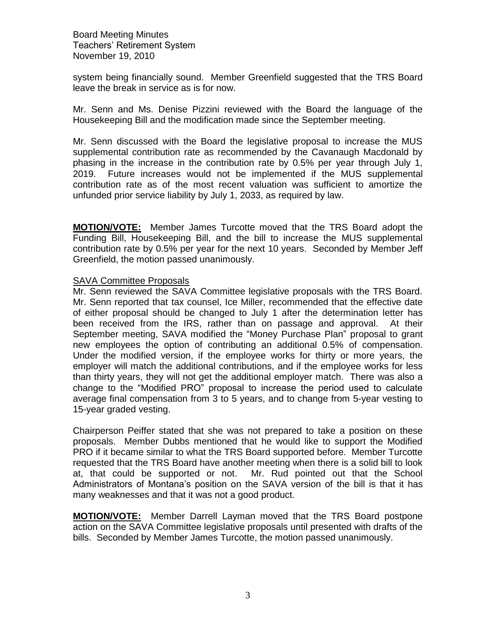system being financially sound. Member Greenfield suggested that the TRS Board leave the break in service as is for now.

Mr. Senn and Ms. Denise Pizzini reviewed with the Board the language of the Housekeeping Bill and the modification made since the September meeting.

Mr. Senn discussed with the Board the legislative proposal to increase the MUS supplemental contribution rate as recommended by the Cavanaugh Macdonald by phasing in the increase in the contribution rate by 0.5% per year through July 1, 2019. Future increases would not be implemented if the MUS supplemental contribution rate as of the most recent valuation was sufficient to amortize the unfunded prior service liability by July 1, 2033, as required by law.

**MOTION/VOTE:** Member James Turcotte moved that the TRS Board adopt the Funding Bill, Housekeeping Bill, and the bill to increase the MUS supplemental contribution rate by 0.5% per year for the next 10 years. Seconded by Member Jeff Greenfield, the motion passed unanimously.

#### SAVA Committee Proposals

Mr. Senn reviewed the SAVA Committee legislative proposals with the TRS Board. Mr. Senn reported that tax counsel, Ice Miller, recommended that the effective date of either proposal should be changed to July 1 after the determination letter has been received from the IRS, rather than on passage and approval. At their September meeting, SAVA modified the "Money Purchase Plan" proposal to grant new employees the option of contributing an additional 0.5% of compensation. Under the modified version, if the employee works for thirty or more years, the employer will match the additional contributions, and if the employee works for less than thirty years, they will not get the additional employer match. There was also a change to the "Modified PRO" proposal to increase the period used to calculate average final compensation from 3 to 5 years, and to change from 5-year vesting to 15-year graded vesting.

Chairperson Peiffer stated that she was not prepared to take a position on these proposals. Member Dubbs mentioned that he would like to support the Modified PRO if it became similar to what the TRS Board supported before. Member Turcotte requested that the TRS Board have another meeting when there is a solid bill to look at, that could be supported or not. Mr. Rud pointed out that the School Administrators of Montana's position on the SAVA version of the bill is that it has many weaknesses and that it was not a good product.

**MOTION/VOTE:** Member Darrell Layman moved that the TRS Board postpone action on the SAVA Committee legislative proposals until presented with drafts of the bills. Seconded by Member James Turcotte, the motion passed unanimously.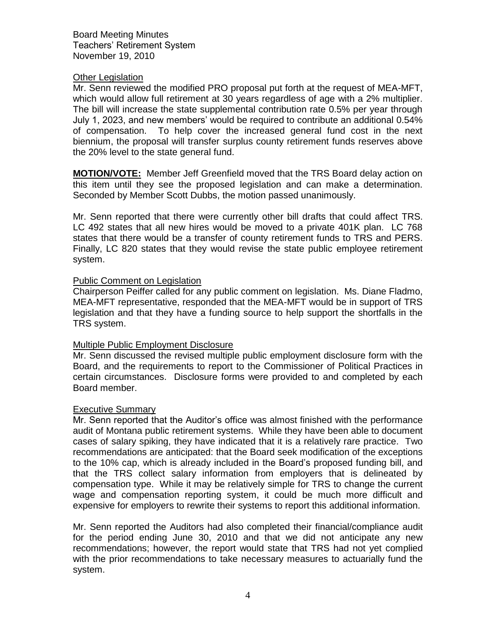#### Other Legislation

Mr. Senn reviewed the modified PRO proposal put forth at the request of MEA-MFT, which would allow full retirement at 30 years regardless of age with a 2% multiplier. The bill will increase the state supplemental contribution rate 0.5% per year through July 1, 2023, and new members' would be required to contribute an additional 0.54% of compensation. To help cover the increased general fund cost in the next biennium, the proposal will transfer surplus county retirement funds reserves above the 20% level to the state general fund.

**MOTION/VOTE:** Member Jeff Greenfield moved that the TRS Board delay action on this item until they see the proposed legislation and can make a determination. Seconded by Member Scott Dubbs, the motion passed unanimously.

Mr. Senn reported that there were currently other bill drafts that could affect TRS. LC 492 states that all new hires would be moved to a private 401K plan. LC 768 states that there would be a transfer of county retirement funds to TRS and PERS. Finally, LC 820 states that they would revise the state public employee retirement system.

#### Public Comment on Legislation

Chairperson Peiffer called for any public comment on legislation. Ms. Diane Fladmo, MEA-MFT representative, responded that the MEA-MFT would be in support of TRS legislation and that they have a funding source to help support the shortfalls in the TRS system.

### Multiple Public Employment Disclosure

Mr. Senn discussed the revised multiple public employment disclosure form with the Board, and the requirements to report to the Commissioner of Political Practices in certain circumstances. Disclosure forms were provided to and completed by each Board member.

### Executive Summary

Mr. Senn reported that the Auditor's office was almost finished with the performance audit of Montana public retirement systems. While they have been able to document cases of salary spiking, they have indicated that it is a relatively rare practice. Two recommendations are anticipated: that the Board seek modification of the exceptions to the 10% cap, which is already included in the Board's proposed funding bill, and that the TRS collect salary information from employers that is delineated by compensation type. While it may be relatively simple for TRS to change the current wage and compensation reporting system, it could be much more difficult and expensive for employers to rewrite their systems to report this additional information.

Mr. Senn reported the Auditors had also completed their financial/compliance audit for the period ending June 30, 2010 and that we did not anticipate any new recommendations; however, the report would state that TRS had not yet complied with the prior recommendations to take necessary measures to actuarially fund the system.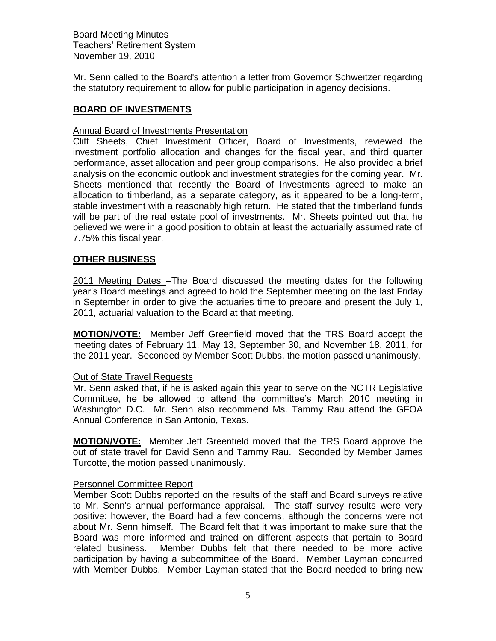Mr. Senn called to the Board's attention a letter from Governor Schweitzer regarding the statutory requirement to allow for public participation in agency decisions.

## **BOARD OF INVESTMENTS**

### Annual Board of Investments Presentation

Cliff Sheets, Chief Investment Officer, Board of Investments, reviewed the investment portfolio allocation and changes for the fiscal year, and third quarter performance, asset allocation and peer group comparisons. He also provided a brief analysis on the economic outlook and investment strategies for the coming year. Mr. Sheets mentioned that recently the Board of Investments agreed to make an allocation to timberland, as a separate category, as it appeared to be a long-term, stable investment with a reasonably high return. He stated that the timberland funds will be part of the real estate pool of investments. Mr. Sheets pointed out that he believed we were in a good position to obtain at least the actuarially assumed rate of 7.75% this fiscal year.

### **OTHER BUSINESS**

2011 Meeting Dates –The Board discussed the meeting dates for the following year's Board meetings and agreed to hold the September meeting on the last Friday in September in order to give the actuaries time to prepare and present the July 1, 2011, actuarial valuation to the Board at that meeting.

**MOTION/VOTE:** Member Jeff Greenfield moved that the TRS Board accept the meeting dates of February 11, May 13, September 30, and November 18, 2011, for the 2011 year. Seconded by Member Scott Dubbs, the motion passed unanimously.

#### Out of State Travel Requests

Mr. Senn asked that, if he is asked again this year to serve on the NCTR Legislative Committee, he be allowed to attend the committee's March 2010 meeting in Washington D.C. Mr. Senn also recommend Ms. Tammy Rau attend the GFOA Annual Conference in San Antonio, Texas.

**MOTION/VOTE:** Member Jeff Greenfield moved that the TRS Board approve the out of state travel for David Senn and Tammy Rau. Seconded by Member James Turcotte, the motion passed unanimously.

### Personnel Committee Report

Member Scott Dubbs reported on the results of the staff and Board surveys relative to Mr. Senn's annual performance appraisal. The staff survey results were very positive: however, the Board had a few concerns, although the concerns were not about Mr. Senn himself. The Board felt that it was important to make sure that the Board was more informed and trained on different aspects that pertain to Board related business. Member Dubbs felt that there needed to be more active participation by having a subcommittee of the Board. Member Layman concurred with Member Dubbs. Member Layman stated that the Board needed to bring new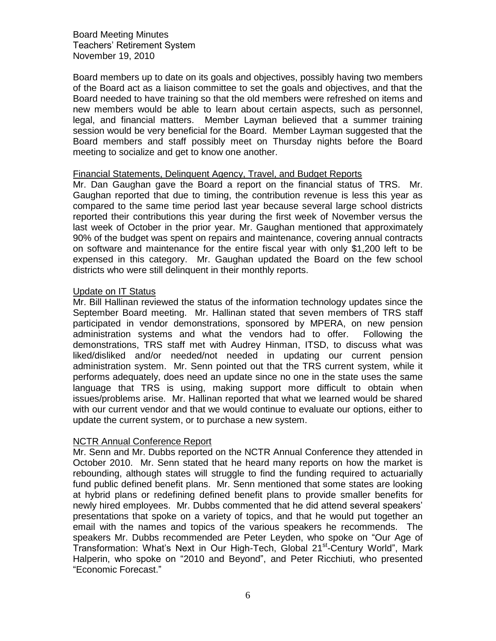Board members up to date on its goals and objectives, possibly having two members of the Board act as a liaison committee to set the goals and objectives, and that the Board needed to have training so that the old members were refreshed on items and new members would be able to learn about certain aspects, such as personnel, legal, and financial matters. Member Layman believed that a summer training session would be very beneficial for the Board. Member Layman suggested that the Board members and staff possibly meet on Thursday nights before the Board meeting to socialize and get to know one another.

#### Financial Statements, Delinquent Agency, Travel, and Budget Reports

Mr. Dan Gaughan gave the Board a report on the financial status of TRS. Mr. Gaughan reported that due to timing, the contribution revenue is less this year as compared to the same time period last year because several large school districts reported their contributions this year during the first week of November versus the last week of October in the prior year. Mr. Gaughan mentioned that approximately 90% of the budget was spent on repairs and maintenance, covering annual contracts on software and maintenance for the entire fiscal year with only \$1,200 left to be expensed in this category. Mr. Gaughan updated the Board on the few school districts who were still delinquent in their monthly reports.

#### Update on IT Status

Mr. Bill Hallinan reviewed the status of the information technology updates since the September Board meeting. Mr. Hallinan stated that seven members of TRS staff participated in vendor demonstrations, sponsored by MPERA, on new pension administration systems and what the vendors had to offer. Following the demonstrations, TRS staff met with Audrey Hinman, ITSD, to discuss what was liked/disliked and/or needed/not needed in updating our current pension administration system. Mr. Senn pointed out that the TRS current system, while it performs adequately, does need an update since no one in the state uses the same language that TRS is using, making support more difficult to obtain when issues/problems arise. Mr. Hallinan reported that what we learned would be shared with our current vendor and that we would continue to evaluate our options, either to update the current system, or to purchase a new system.

### NCTR Annual Conference Report

Mr. Senn and Mr. Dubbs reported on the NCTR Annual Conference they attended in October 2010. Mr. Senn stated that he heard many reports on how the market is rebounding, although states will struggle to find the funding required to actuarially fund public defined benefit plans. Mr. Senn mentioned that some states are looking at hybrid plans or redefining defined benefit plans to provide smaller benefits for newly hired employees. Mr. Dubbs commented that he did attend several speakers' presentations that spoke on a variety of topics, and that he would put together an email with the names and topics of the various speakers he recommends. The speakers Mr. Dubbs recommended are Peter Leyden, who spoke on "Our Age of Transformation: What's Next in Our High-Tech, Global 21<sup>st</sup>-Century World", Mark Halperin, who spoke on "2010 and Beyond", and Peter Ricchiuti, who presented "Economic Forecast."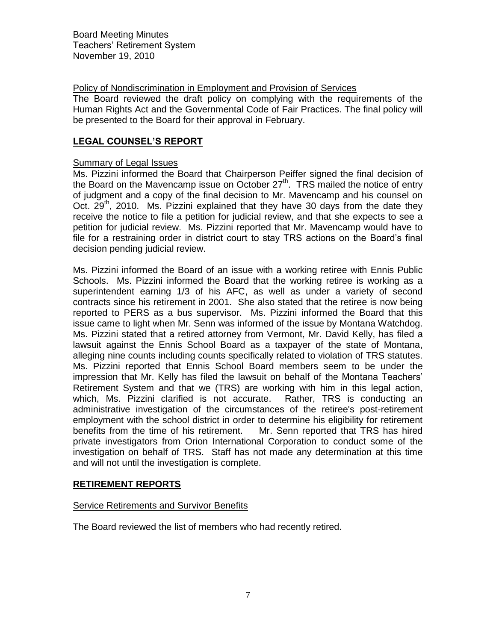## Policy of Nondiscrimination in Employment and Provision of Services

The Board reviewed the draft policy on complying with the requirements of the Human Rights Act and the Governmental Code of Fair Practices. The final policy will be presented to the Board for their approval in February.

# **LEGAL COUNSEL'S REPORT**

### Summary of Legal Issues

Ms. Pizzini informed the Board that Chairperson Peiffer signed the final decision of the Board on the Mavencamp issue on October  $27<sup>th</sup>$ . TRS mailed the notice of entry of judgment and a copy of the final decision to Mr. Mavencamp and his counsel on Oct.  $29<sup>th</sup>$ , 2010. Ms. Pizzini explained that they have 30 days from the date they receive the notice to file a petition for judicial review, and that she expects to see a petition for judicial review. Ms. Pizzini reported that Mr. Mavencamp would have to file for a restraining order in district court to stay TRS actions on the Board's final decision pending judicial review.

Ms. Pizzini informed the Board of an issue with a working retiree with Ennis Public Schools. Ms. Pizzini informed the Board that the working retiree is working as a superintendent earning 1/3 of his AFC, as well as under a variety of second contracts since his retirement in 2001. She also stated that the retiree is now being reported to PERS as a bus supervisor. Ms. Pizzini informed the Board that this issue came to light when Mr. Senn was informed of the issue by Montana Watchdog. Ms. Pizzini stated that a retired attorney from Vermont, Mr. David Kelly, has filed a lawsuit against the Ennis School Board as a taxpayer of the state of Montana, alleging nine counts including counts specifically related to violation of TRS statutes. Ms. Pizzini reported that Ennis School Board members seem to be under the impression that Mr. Kelly has filed the lawsuit on behalf of the Montana Teachers' Retirement System and that we (TRS) are working with him in this legal action, which, Ms. Pizzini clarified is not accurate. Rather, TRS is conducting an administrative investigation of the circumstances of the retiree's post-retirement employment with the school district in order to determine his eligibility for retirement benefits from the time of his retirement. Mr. Senn reported that TRS has hired private investigators from Orion International Corporation to conduct some of the investigation on behalf of TRS. Staff has not made any determination at this time and will not until the investigation is complete.

# **RETIREMENT REPORTS**

### Service Retirements and Survivor Benefits

The Board reviewed the list of members who had recently retired.